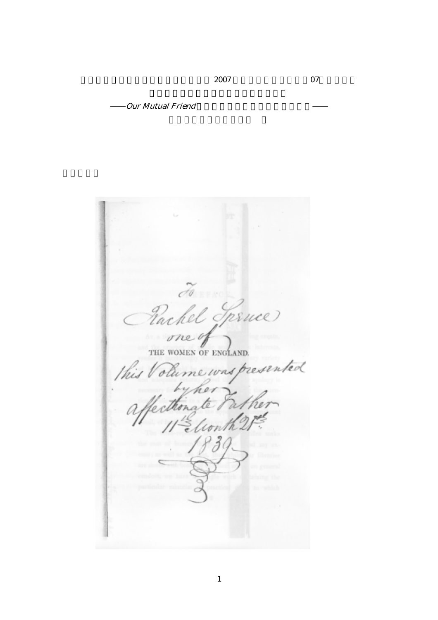$2007$   $07$ 

Our Mutual Friend

Cel Trince Pac w THE WOMEN OF ENGLAND. resented this mewasp olù thona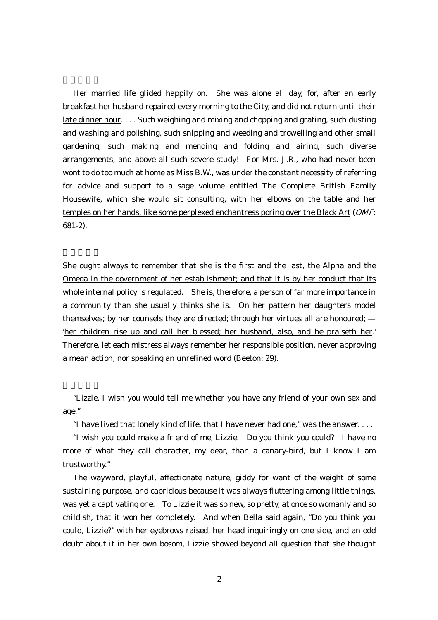Her married life glided happily on. She was alone all day, for, after an early breakfast her husband repaired every morning to the City, and did not return until their late dinner hour. . . . Such weighing and mixing and chopping and grating, such dusting and washing and polishing, such snipping and weeding and trowelling and other small gardening, such making and mending and folding and airing, such diverse arrangements, and above all such severe study! For Mrs. J.R., who had never been wont to do too much at home as Miss B.W., was under the constant necessity of referring for advice and support to a sage volume entitled The Complete British Family Housewife, which she would sit consulting, with her elbows on the table and her temples on her hands, like some perplexed enchantress poring over the Black Art (OMF: 681-2).

She ought always to remember that she is the first and the last, the Alpha and the Omega in the government of her establishment; and that it is by her conduct that its whole internal policy is regulated. She is, therefore, a person of far more importance in a community than she usually thinks she is. On her pattern her daughters model themselves; by her counsels they are directed; through her virtues all are honoured; — 'her children rise up and call her blessed; her husband, also, and he praiseth her.' Therefore, let each mistress always remember her responsible position, never approving a mean action, nor speaking an unrefined word (Beeton: 29).

"Lizzie, I wish you would tell me whether you have any friend of your own sex and age."

"I have lived that lonely kind of life, that I have never had one," was the answer. . . .

"I wish you could make a friend of me, Lizzie. Do you think you could? I have no more of what they call character, my dear, than a canary-bird, but I know I am trustworthy."

The wayward, playful, affectionate nature, giddy for want of the weight of some sustaining purpose, and capricious because it was always fluttering among little things, was yet a captivating one. To Lizzie it was so new, so pretty, at once so womanly and so childish, that it won her completely. And when Bella said again, "Do you think you could, Lizzie?" with her eyebrows raised, her head inquiringly on one side, and an odd doubt about it in her own bosom, Lizzie showed beyond all question that she thought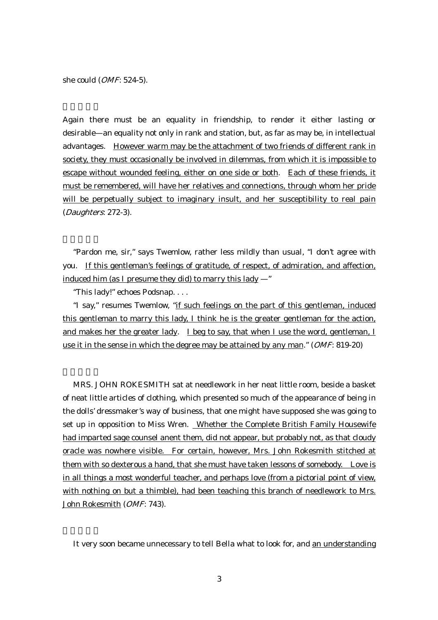she could (OMF: 524-5).

Again there must be an equality in friendship, to render it either lasting or desirable—an equality not only in rank and station, but, as far as may be, in intellectual advantages. However warm may be the attachment of two friends of different rank in society, they must occasionally be involved in dilemmas, from which it is impossible to escape without wounded feeling, either on one side or both. Each of these friends, it must be remembered, will have her relatives and connections, through whom her pride will be perpetually subject to imaginary insult, and her susceptibility to real pain (Daughters: 272-3).

"Pardon me, sir," says Twemlow, rather less mildly than usual, "I don't agree with you. If this gentleman's feelings of gratitude, of respect, of admiration, and affection, induced him (as I presume they did) to marry this lady —"

"This lady!" echoes Podsnap. . . .

 "I say," resumes Twemlow, "if such feelings on the part of this gentleman, induced this gentleman to marry this lady, I think he is the greater gentleman for the action, and makes her the greater lady. I beg to say, that when I use the word, gentleman, I use it in the sense in which the degree may be attained by any man." (OMF: 819-20)

MRS. JOHN ROKESMITH sat at needlework in her neat little room, beside a basket of neat little articles of clothing, which presented so much of the appearance of being in the dolls' dressmaker's way of business, that one might have supposed she was going to set up in opposition to Miss Wren. Whether the Complete British Family Housewife had imparted sage counsel anent them, did not appear, but probably not, as that cloudy oracle was nowhere visible. For certain, however, Mrs. John Rokesmith stitched at them with so dexterous a hand, that she must have taken lessons of somebody. Love is in all things a most wonderful teacher, and perhaps love (from a pictorial point of view, with nothing on but a thimble), had been teaching this branch of needlework to Mrs. John Rokesmith (OMF: 743).

It very soon became unnecessary to tell Bella what to look for, and an understanding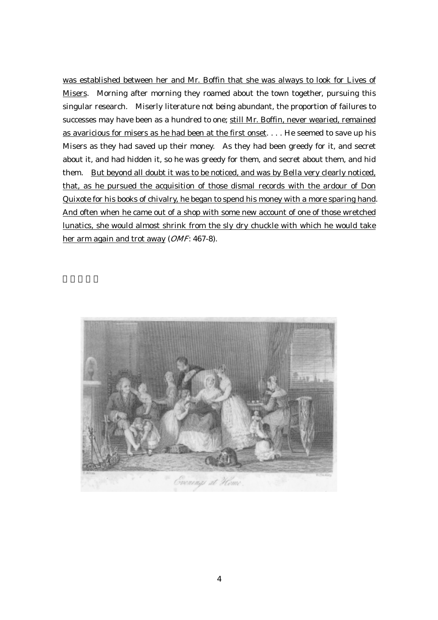was established between her and Mr. Boffin that she was always to look for Lives of Misers. Morning after morning they roamed about the town together, pursuing this singular research. Miserly literature not being abundant, the proportion of failures to successes may have been as a hundred to one; still Mr. Boffin, never wearied, remained as avaricious for misers as he had been at the first onset. . . . He seemed to save up his Misers as they had saved up their money. As they had been greedy for it, and secret about it, and had hidden it, so he was greedy for them, and secret about them, and hid them. But beyond all doubt it was to be noticed, and was by Bella very clearly noticed, that, as he pursued the acquisition of those dismal records with the ardour of Don Quixote for his books of chivalry, he began to spend his money with a more sparing hand. And often when he came out of a shop with some new account of one of those wretched lunatics, she would almost shrink from the sly dry chuckle with which he would take her arm again and trot away (OMF: 467-8).